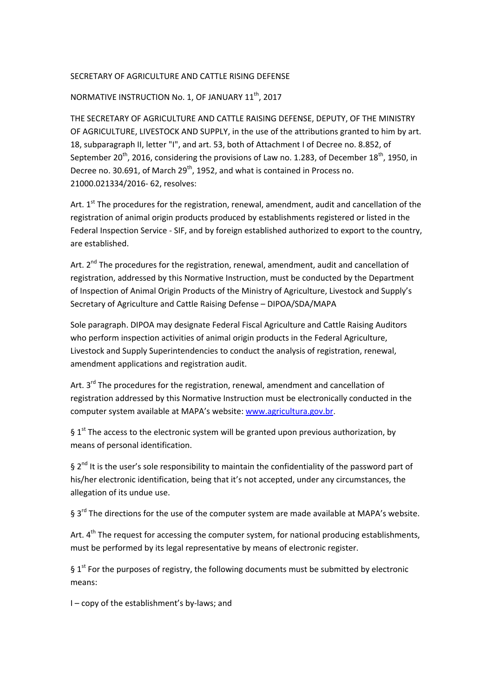## SECRETARY OF AGRICULTURE AND CATTLE RISING DEFENSE

## NORMATIVE INSTRUCTION No. 1, OF JANUARY 11th, 2017

THE SECRETARY OF AGRICULTURE AND CATTLE RAISING DEFENSE, DEPUTY, OF THE MINISTRY OF AGRICULTURE, LIVESTOCK AND SUPPLY, in the use of the attributions granted to him by art. 18, subparagraph II, letter "I", and art. 53, both of Attachment I of Decree no. 8.852, of September 20<sup>th</sup>, 2016, considering the provisions of Law no. 1.283, of December 18<sup>th</sup>, 1950, in Decree no. 30.691, of March  $29<sup>th</sup>$ , 1952, and what is contained in Process no. 21000.021334/2016- 62, resolves:

Art.  $1<sup>st</sup>$  The procedures for the registration, renewal, amendment, audit and cancellation of the registration of animal origin products produced by establishments registered or listed in the Federal Inspection Service - SIF, and by foreign established authorized to export to the country, are established.

Art.  $2^{nd}$  The procedures for the registration, renewal, amendment, audit and cancellation of registration, addressed by this Normative Instruction, must be conducted by the Department of Inspection of Animal Origin Products of the Ministry of Agriculture, Livestock and Supply's Secretary of Agriculture and Cattle Raising Defense – DIPOA/SDA/MAPA

Sole paragraph. DIPOA may designate Federal Fiscal Agriculture and Cattle Raising Auditors who perform inspection activities of animal origin products in the Federal Agriculture, Livestock and Supply Superintendencies to conduct the analysis of registration, renewal, amendment applications and registration audit.

Art.  $3^{rd}$  The procedures for the registration, renewal, amendment and cancellation of registration addressed by this Normative Instruction must be electronically conducted in the computer system available at MAPA's website: www.agricultura.gov.br.

§  $1<sup>st</sup>$  The access to the electronic system will be granted upon previous authorization, by means of personal identification.

 $\S 2<sup>nd</sup>$  It is the user's sole responsibility to maintain the confidentiality of the password part of his/her electronic identification, being that it's not accepted, under any circumstances, the allegation of its undue use.

§ 3rd The directions for the use of the computer system are made available at MAPA's website.

Art.  $4<sup>th</sup>$  The request for accessing the computer system, for national producing establishments, must be performed by its legal representative by means of electronic register.

§  $1<sup>st</sup>$  For the purposes of registry, the following documents must be submitted by electronic means:

I – copy of the establishment's by-laws; and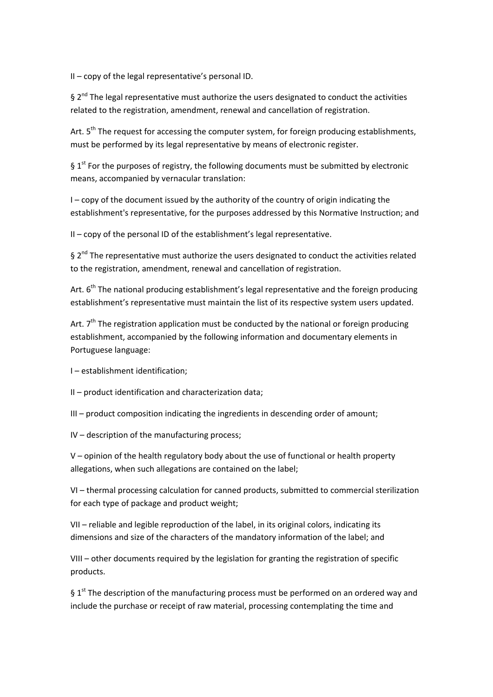II – copy of the legal representative's personal ID.

 $\frac{1}{2}$  2<sup>nd</sup> The legal representative must authorize the users designated to conduct the activities related to the registration, amendment, renewal and cancellation of registration.

Art.  $5<sup>th</sup>$  The request for accessing the computer system, for foreign producing establishments, must be performed by its legal representative by means of electronic register.

§  $1<sup>st</sup>$  For the purposes of registry, the following documents must be submitted by electronic means, accompanied by vernacular translation:

I – copy of the document issued by the authority of the country of origin indicating the establishment's representative, for the purposes addressed by this Normative Instruction; and

II – copy of the personal ID of the establishment's legal representative.

 $\frac{1}{2}$  2<sup>nd</sup> The representative must authorize the users designated to conduct the activities related to the registration, amendment, renewal and cancellation of registration.

Art.  $6<sup>th</sup>$  The national producing establishment's legal representative and the foreign producing establishment's representative must maintain the list of its respective system users updated.

Art.  $7<sup>th</sup>$  The registration application must be conducted by the national or foreign producing establishment, accompanied by the following information and documentary elements in Portuguese language:

I – establishment identification;

II – product identification and characterization data;

III – product composition indicating the ingredients in descending order of amount;

IV – description of the manufacturing process;

V – opinion of the health regulatory body about the use of functional or health property allegations, when such allegations are contained on the label;

VI – thermal processing calculation for canned products, submitted to commercial sterilization for each type of package and product weight;

VII – reliable and legible reproduction of the label, in its original colors, indicating its dimensions and size of the characters of the mandatory information of the label; and

VIII – other documents required by the legislation for granting the registration of specific products.

§  $1<sup>st</sup>$  The description of the manufacturing process must be performed on an ordered way and include the purchase or receipt of raw material, processing contemplating the time and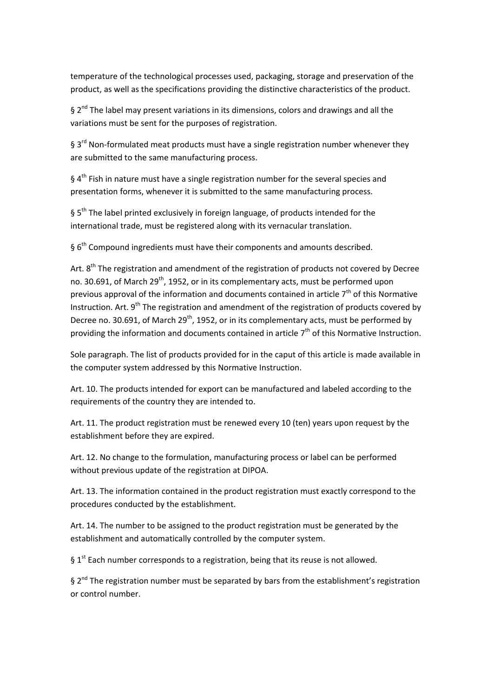temperature of the technological processes used, packaging, storage and preservation of the product, as well as the specifications providing the distinctive characteristics of the product.

 $\frac{1}{2}$  2<sup>nd</sup> The label may present variations in its dimensions, colors and drawings and all the variations must be sent for the purposes of registration.

§ 3<sup>rd</sup> Non-formulated meat products must have a single registration number whenever they are submitted to the same manufacturing process.

§  $4<sup>th</sup>$  Fish in nature must have a single registration number for the several species and presentation forms, whenever it is submitted to the same manufacturing process.

§ 5<sup>th</sup> The label printed exclusively in foreign language, of products intended for the international trade, must be registered along with its vernacular translation.

§ 6<sup>th</sup> Compound ingredients must have their components and amounts described.

Art.  $8<sup>th</sup>$  The registration and amendment of the registration of products not covered by Decree no. 30.691, of March 29<sup>th</sup>, 1952, or in its complementary acts, must be performed upon previous approval of the information and documents contained in article  $7<sup>th</sup>$  of this Normative Instruction. Art.  $9<sup>th</sup>$  The registration and amendment of the registration of products covered by Decree no. 30.691, of March 29<sup>th</sup>, 1952, or in its complementary acts, must be performed by providing the information and documents contained in article  $7<sup>th</sup>$  of this Normative Instruction.

Sole paragraph. The list of products provided for in the caput of this article is made available in the computer system addressed by this Normative Instruction.

Art. 10. The products intended for export can be manufactured and labeled according to the requirements of the country they are intended to.

Art. 11. The product registration must be renewed every 10 (ten) years upon request by the establishment before they are expired.

Art. 12. No change to the formulation, manufacturing process or label can be performed without previous update of the registration at DIPOA.

Art. 13. The information contained in the product registration must exactly correspond to the procedures conducted by the establishment.

Art. 14. The number to be assigned to the product registration must be generated by the establishment and automatically controlled by the computer system.

§ 1<sup>st</sup> Each number corresponds to a registration, being that its reuse is not allowed.

 $\S 2<sup>nd</sup>$  The registration number must be separated by bars from the establishment's registration or control number.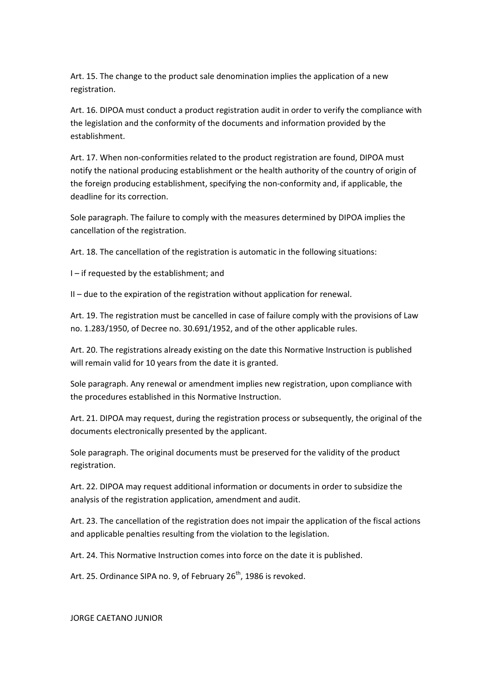Art. 15. The change to the product sale denomination implies the application of a new registration.

Art. 16. DIPOA must conduct a product registration audit in order to verify the compliance with the legislation and the conformity of the documents and information provided by the establishment.

Art. 17. When non-conformities related to the product registration are found, DIPOA must notify the national producing establishment or the health authority of the country of origin of the foreign producing establishment, specifying the non-conformity and, if applicable, the deadline for its correction.

Sole paragraph. The failure to comply with the measures determined by DIPOA implies the cancellation of the registration.

Art. 18. The cancellation of the registration is automatic in the following situations:

I – if requested by the establishment; and

II – due to the expiration of the registration without application for renewal.

Art. 19. The registration must be cancelled in case of failure comply with the provisions of Law no. 1.283/1950, of Decree no. 30.691/1952, and of the other applicable rules.

Art. 20. The registrations already existing on the date this Normative Instruction is published will remain valid for 10 years from the date it is granted.

Sole paragraph. Any renewal or amendment implies new registration, upon compliance with the procedures established in this Normative Instruction.

Art. 21. DIPOA may request, during the registration process or subsequently, the original of the documents electronically presented by the applicant.

Sole paragraph. The original documents must be preserved for the validity of the product registration.

Art. 22. DIPOA may request additional information or documents in order to subsidize the analysis of the registration application, amendment and audit.

Art. 23. The cancellation of the registration does not impair the application of the fiscal actions and applicable penalties resulting from the violation to the legislation.

Art. 24. This Normative Instruction comes into force on the date it is published.

Art. 25. Ordinance SIPA no. 9, of February  $26<sup>th</sup>$ , 1986 is revoked.

JORGE CAETANO JUNIOR